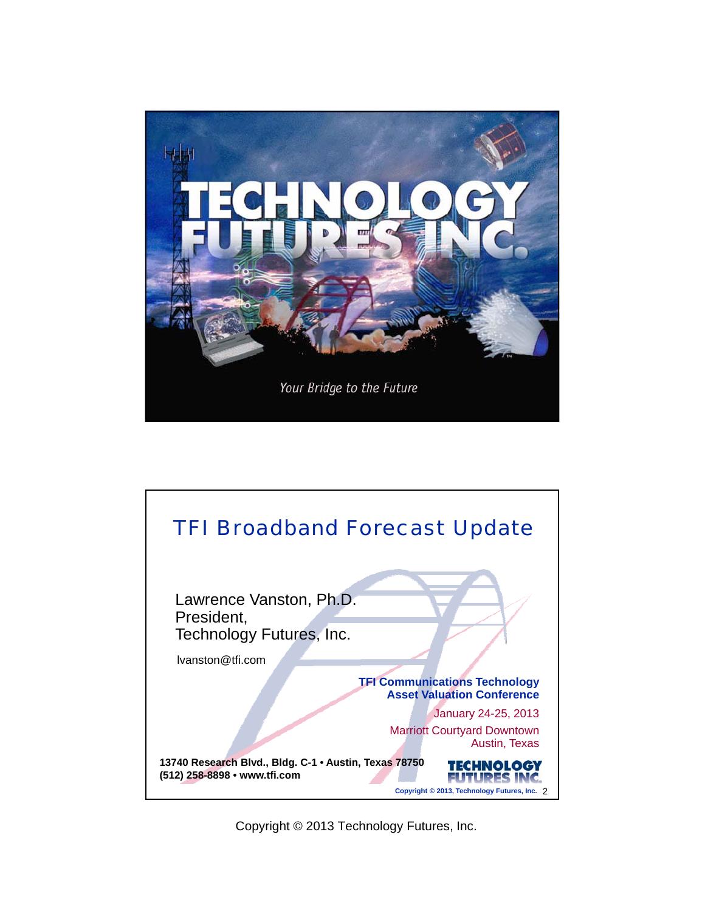

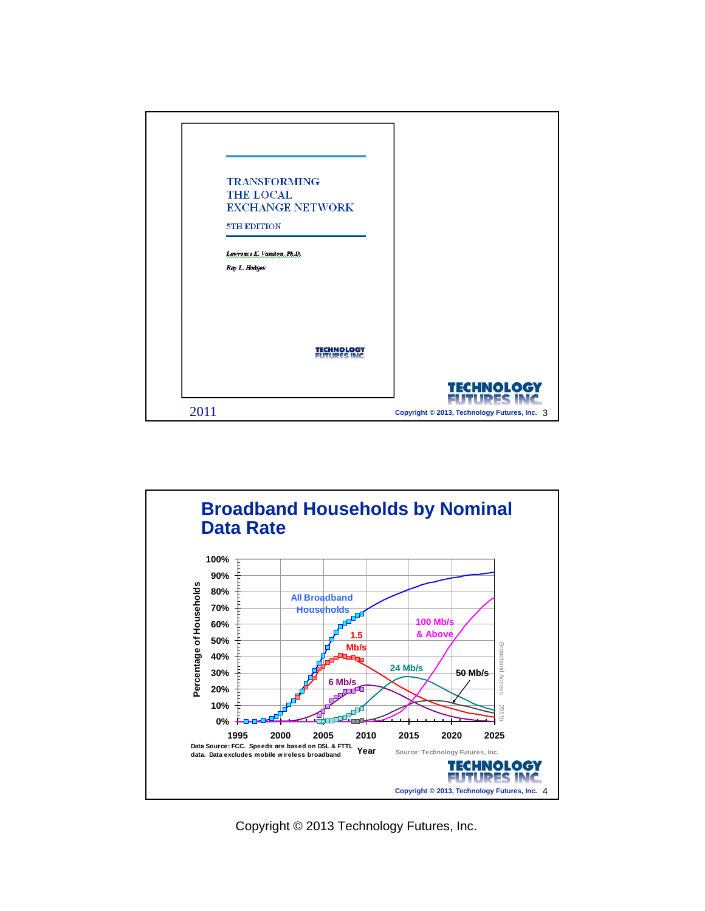

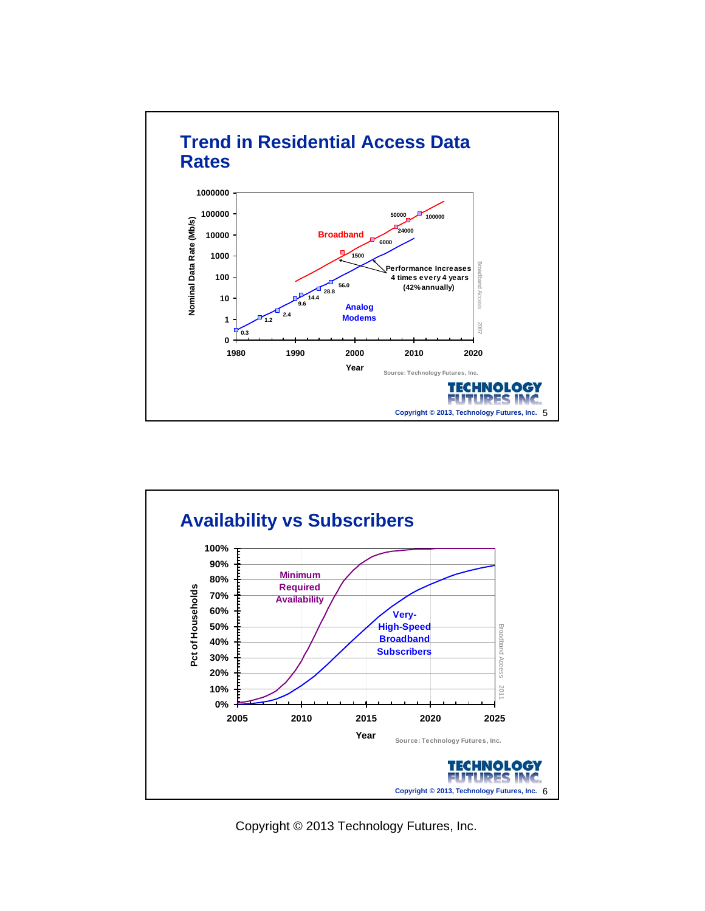

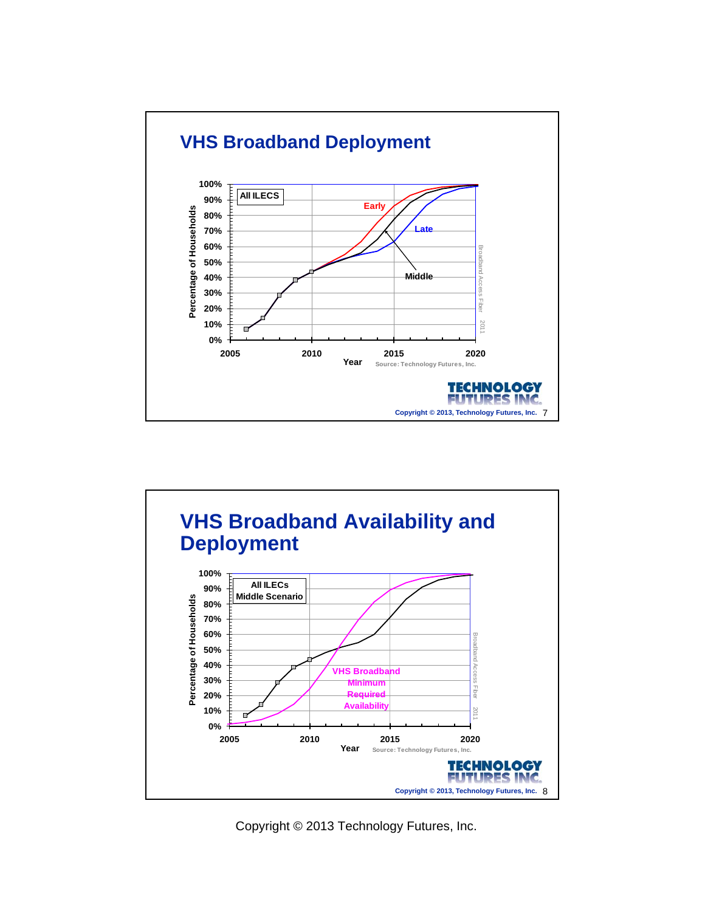

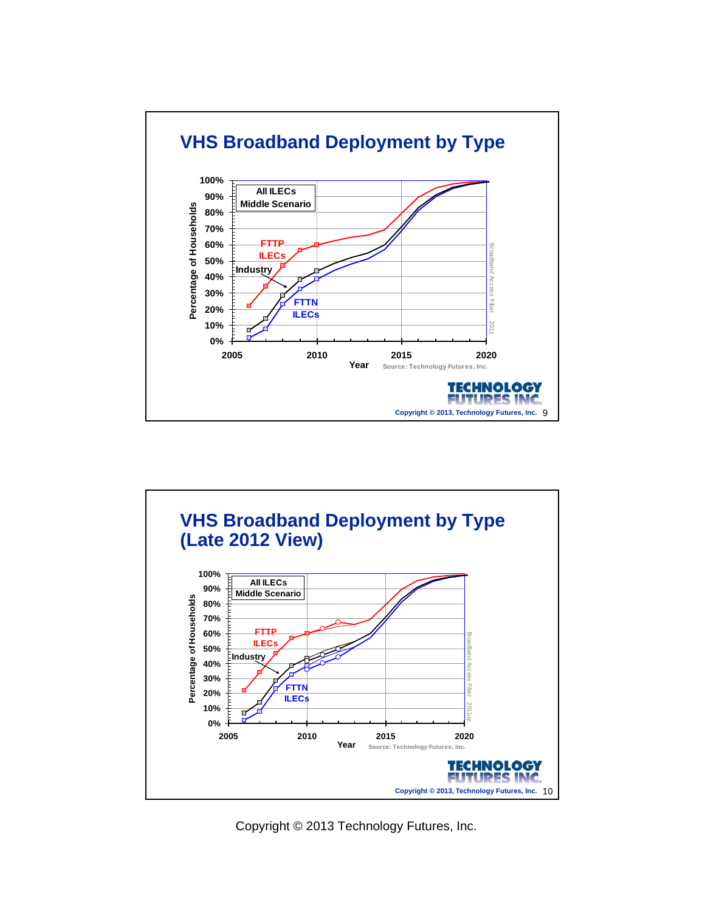

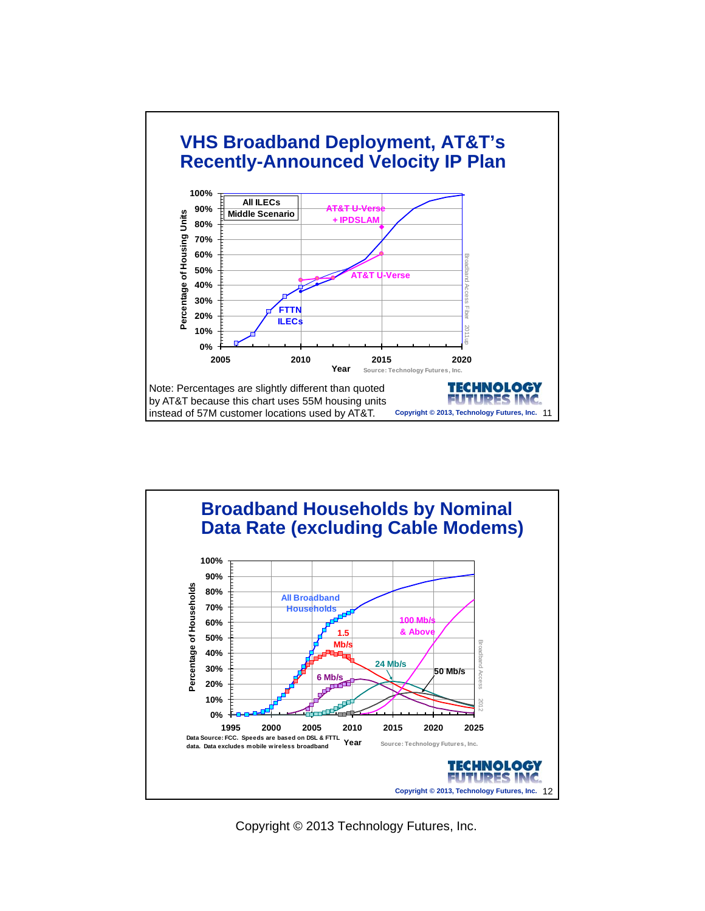

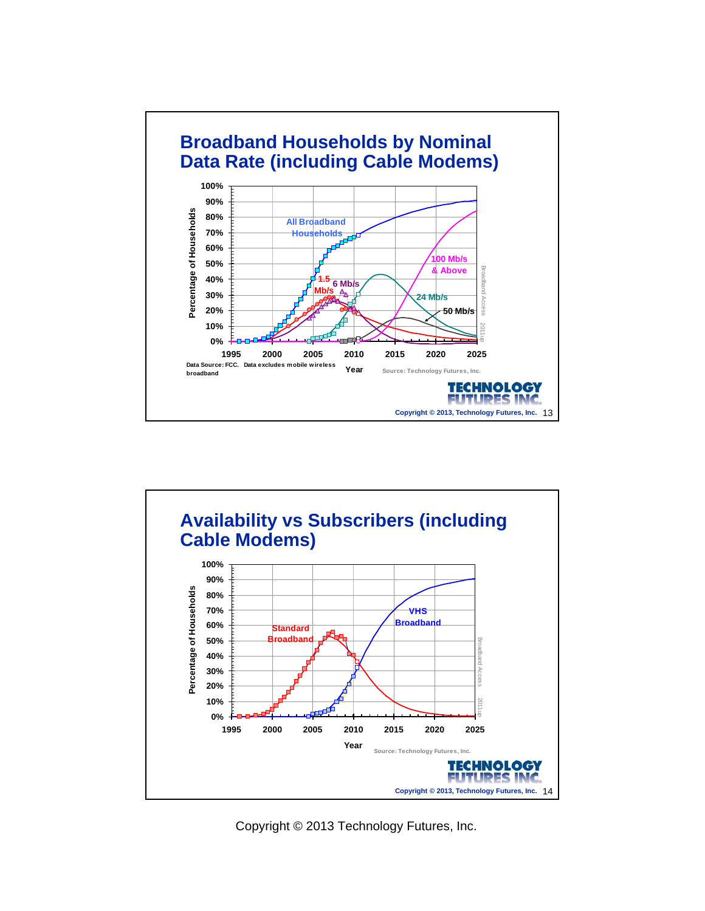

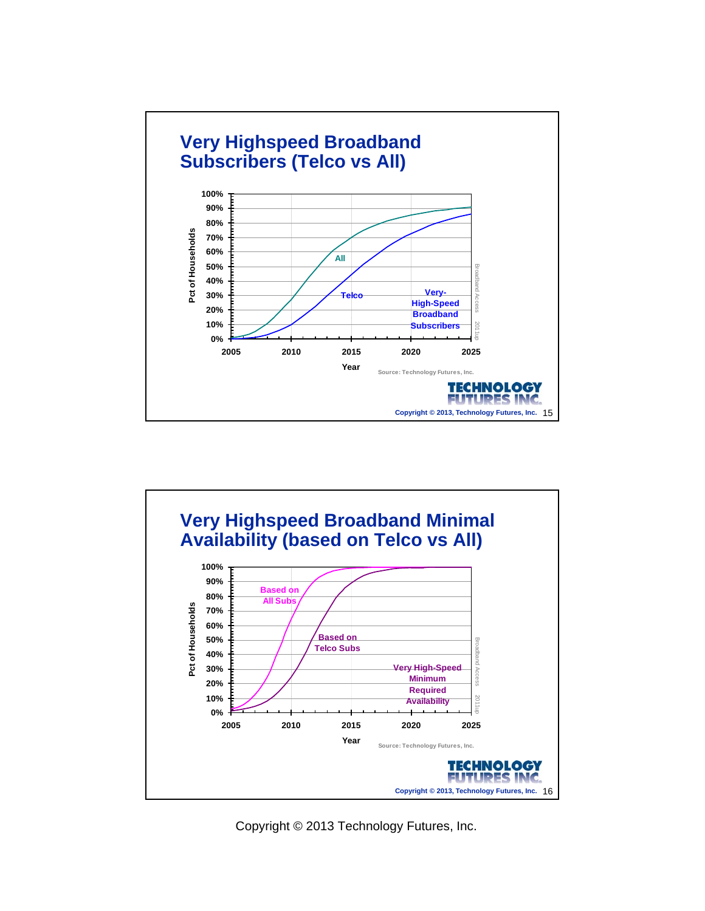

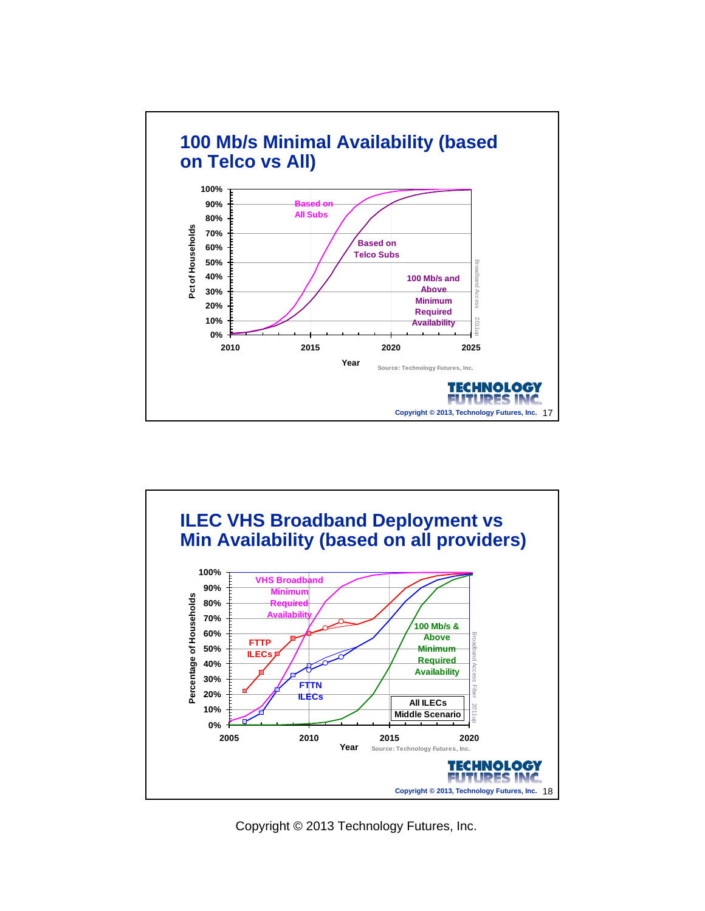